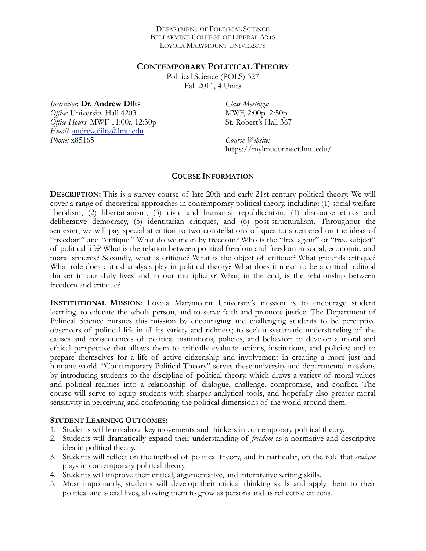#### DEPARTMENT OF POLITICAL SCIENCE BELLARMINE COLLEGE OF LIBERAL ARTS LOYOLA MARYMOUNT UNIVERSITY

### **CONTEMPORARY POLITICAL THEORY**

Political Science (POLS) 327 Fall 2011, 4 Units

*Instructor*: **Dr. Andrew Dilts** *Office*: University Hall 4203 *Office Hours*: MWF 11:00a-12:30p *Email*: [andrew.dilts@lmu.edu](mailto:adilts@lmu.edu) *Phone:* x85165

*Class Meetings:*  MWF, 2:00p–2:50p St. Robert's Hall 367

*Course Website:*  https://mylmuconnect.lmu.edu/

### **COURSE INFORMATION**

**DESCRIPTION:** This is a survey course of late 20th and early 21st century political theory. We will cover a range of theoretical approaches in contemporary political theory, including: (1) social welfare liberalism, (2) libertarianism, (3) civic and humanist republicanism, (4) discourse ethics and deliberative democracy, (5) identitarian critiques, and (6) post-structuralism. Throughout the semester, we will pay special attention to two constellations of questions centered on the ideas of "freedom" and "critique." What do we mean by freedom? Who is the "free agent" or "free subject" of political life? What is the relation between political freedom and freedom in social, economic, and moral spheres? Secondly, what is critique? What is the object of critique? What grounds critique? What role does critical analysis play in political theory? What does it mean to be a critical political thinker in our daily lives and in our multiplicity? What, in the end, is the relationship between freedom and critique?

**INSTITUTIONAL MISSION:** Loyola Marymount University's mission is to encourage student learning, to educate the whole person, and to serve faith and promote justice. The Department of Political Science pursues this mission by encouraging and challenging students to be perceptive observers of political life in all its variety and richness; to seek a systematic understanding of the causes and consequences of political institutions, policies, and behavior; to develop a moral and ethical perspective that allows them to critically evaluate actions, institutions, and policies; and to prepare themselves for a life of active citizenship and involvement in creating a more just and humane world. "Contemporary Political Theory" serves these university and departmental missions by introducing students to the discipline of political theory, which draws a variety of moral values and political realities into a relationship of dialogue, challenge, compromise, and conflict. The course will serve to equip students with sharper analytical tools, and hopefully also greater moral sensitivity in perceiving and confronting the political dimensions of the world around them.

# **STUDENT LEARNING OUTCOMES:**

- 1. Students will learn about key movements and thinkers in contemporary political theory.
- 2. Students will dramatically expand their understanding of *freedom* as a normative and descriptive idea in political theory.
- 3. Students will reflect on the method of political theory, and in particular, on the role that *critique* plays in contemporary political theory.
- 4. Students will improve their critical, argumentative, and interpretive writing skills.
- 5. Most importantly, students will develop their critical thinking skills and apply them to their political and social lives, allowing them to grow as persons and as reflective citizens.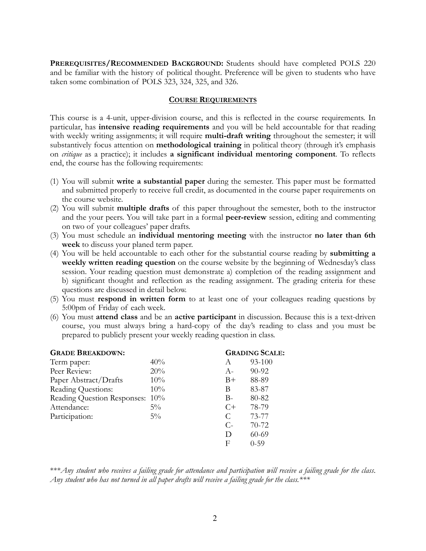**PREREQUISITES/RECOMMENDED BACKGROUND:** Students should have completed POLS 220 and be familiar with the history of political thought. Preference will be given to students who have taken some combination of POLS 323, 324, 325, and 326.

### **COURSE REQUIREMENTS**

This course is a 4-unit, upper-division course, and this is reflected in the course requirements. In particular, has **intensive reading requirements** and you will be held accountable for that reading with weekly writing assignments; it will require **multi-draft writing** throughout the semester; it will substantively focus attention on **methodological training** in political theory (through it's emphasis on *critique* as a practice); it includes **a significant individual mentoring component***.* To reflects end, the course has the following requirements:

- (1) You will submit **write a substantial paper** during the semester. This paper must be formatted and submitted properly to receive full credit, as documented in the course paper requirements on the course website.
- (2) You will submit **multiple drafts** of this paper throughout the semester, both to the instructor and the your peers. You will take part in a formal **peer-review** session, editing and commenting on two of your colleagues' paper drafts.
- (3) You must schedule an **individual mentoring meeting** with the instructor **no later than 6th week** to discuss your planed term paper.
- (4) You will be held accountable to each other for the substantial course reading by **submitting a weekly written reading question** on the course website by the beginning of Wednesday's class session. Your reading question must demonstrate a) completion of the reading assignment and b) significant thought and reflection as the reading assignment. The grading criteria for these questions are discussed in detail below.
- (5) You must **respond in written form** to at least one of your colleagues reading questions by 5:00pm of Friday of each week.
- (6) You must **attend class** and be an **active participant** in discussion. Because this is a text-driven course, you must always bring a hard-copy of the day's reading to class and you must be prepared to publicly present your weekly reading question in class.

| <b>GRADE BREAKDOWN:</b>         |       | <b>GRADING SCALE:</b> |           |
|---------------------------------|-------|-----------------------|-----------|
| Term paper:                     | 40%   | A                     | 93-100    |
| Peer Review:                    | 20%   | $A-$                  | 90-92     |
| Paper Abstract/Drafts           | 10%   | $B+$                  | 88-89     |
| Reading Questions:              | 10%   | В                     | 83-87     |
| Reading Question Responses: 10% |       | $B -$                 | 80-82     |
| Attendance:                     | $5\%$ | $C+$                  | 78-79     |
| Participation:                  | $5\%$ | C                     | 73-77     |
|                                 |       | $C$ -                 | $70 - 72$ |
|                                 |       | D                     | 60-69     |
|                                 |       | F                     | $0 - 59$  |
|                                 |       |                       |           |

\*\*\**Any student who receives a failing grade for attendance and participation will receive a failing grade for the class*. *Any student who has not turned in all paper drafts will receive a failing grade for the class.\*\*\**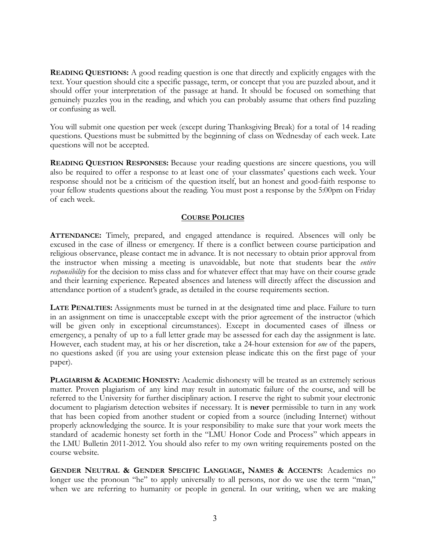**READING QUESTIONS:** A good reading question is one that directly and explicitly engages with the text. Your question should cite a specific passage, term, or concept that you are puzzled about, and it should offer your interpretation of the passage at hand. It should be focused on something that genuinely puzzles you in the reading, and which you can probably assume that others find puzzling or confusing as well.

You will submit one question per week (except during Thanksgiving Break) for a total of 14 reading questions. Questions must be submitted by the beginning of class on Wednesday of each week. Late questions will not be accepted.

**READING QUESTION RESPONSES:** Because your reading questions are sincere questions, you will also be required to offer a response to at least one of your classmates' questions each week. Your response should not be a criticism of the question itself, but an honest and good-faith response to your fellow students questions about the reading. You must post a response by the 5:00pm on Friday of each week.

# **COURSE POLICIES**

**ATTENDANCE:** Timely, prepared, and engaged attendance is required. Absences will only be excused in the case of illness or emergency. If there is a conflict between course participation and religious observance, please contact me in advance. It is not necessary to obtain prior approval from the instructor when missing a meeting is unavoidable, but note that students bear the *entire responsibility* for the decision to miss class and for whatever effect that may have on their course grade and their learning experience. Repeated absences and lateness will directly affect the discussion and attendance portion of a student's grade, as detailed in the course requirements section.

**LATE PENALTIES:** Assignments must be turned in at the designated time and place. Failure to turn in an assignment on time is unacceptable except with the prior agreement of the instructor (which will be given only in exceptional circumstances). Except in documented cases of illness or emergency, a penalty of up to a full letter grade may be assessed for each day the assignment is late. However, each student may, at his or her discretion, take a 24-hour extension for *one* of the papers, no questions asked (if you are using your extension please indicate this on the first page of your paper).

**PLAGIARISM & ACADEMIC HONESTY:** Academic dishonesty will be treated as an extremely serious matter. Proven plagiarism of any kind may result in automatic failure of the course, and will be referred to the University for further disciplinary action. I reserve the right to submit your electronic document to plagiarism detection websites if necessary. It is **never** permissible to turn in any work that has been copied from another student or copied from a source (including Internet) without properly acknowledging the source. It is your responsibility to make sure that your work meets the standard of academic honesty set forth in the "LMU Honor Code and Process" which appears in the LMU Bulletin 2011-2012. You should also refer to my own writing requirements posted on the course website.

**GENDER NEUTRAL & GENDER SPECIFIC LANGUAGE, NAMES & ACCENTS:** Academics no longer use the pronoun "he" to apply universally to all persons, nor do we use the term "man," when we are referring to humanity or people in general. In our writing, when we are making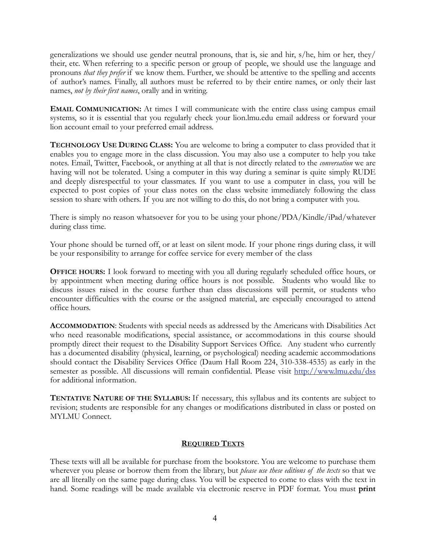generalizations we should use gender neutral pronouns, that is, sie and hir, s/he, him or her, they/ their, etc. When referring to a specific person or group of people, we should use the language and pronouns *that they prefer* if we know them. Further, we should be attentive to the spelling and accents of author's names. Finally, all authors must be referred to by their entire names, or only their last names, *not by their first names*, orally and in writing.

**EMAIL COMMUNICATION:** At times I will communicate with the entire class using campus email systems, so it is essential that you regularly check your lion.lmu.edu email address or forward your lion account email to your preferred email address.

**TECHNOLOGY USE DURING CLASS:** You are welcome to bring a computer to class provided that it enables you to engage more in the class discussion. You may also use a computer to help you take notes. Email, Twitter, Facebook, or anything at all that is not directly related to the *conversation* we are having will not be tolerated. Using a computer in this way during a seminar is quite simply RUDE and deeply disrespectful to your classmates. If you want to use a computer in class, you will be expected to post copies of your class notes on the class website immediately following the class session to share with others. If you are not willing to do this, do not bring a computer with you.

There is simply no reason whatsoever for you to be using your phone/PDA/Kindle/iPad/whatever during class time.

Your phone should be turned off, or at least on silent mode. If your phone rings during class, it will be your responsibility to arrange for coffee service for every member of the class

**OFFICE HOURS:** I look forward to meeting with you all during regularly scheduled office hours, or by appointment when meeting during office hours is not possible. Students who would like to discuss issues raised in the course further than class discussions will permit, or students who encounter difficulties with the course or the assigned material, are especially encouraged to attend office hours.

**ACCOMMODATION**: Students with special needs as addressed by the Americans with Disabilities Act who need reasonable modifications, special assistance, or accommodations in this course should promptly direct their request to the Disability Support Services Office. Any student who currently has a documented disability (physical, learning, or psychological) needing academic accommodations should contact the Disability Services Office (Daum Hall Room 224, 310-338-4535) as early in the semester as possible. All discussions will remain confidential. Please visit <http://www.lmu.edu/dss> for additional information.

**TENTATIVE NATURE OF THE SYLLABUS:** If necessary, this syllabus and its contents are subject to revision; students are responsible for any changes or modifications distributed in class or posted on MYLMU Connect.

# **REQUIRED TEXTS**

These texts will all be available for purchase from the bookstore. You are welcome to purchase them wherever you please or borrow them from the library, but *please use these editions of the texts* so that we are all literally on the same page during class. You will be expected to come to class with the text in hand. Some readings will be made available via electronic reserve in PDF format. You must **print**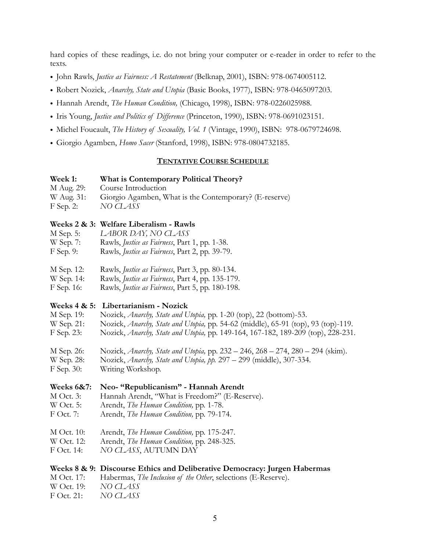hard copies of these readings, i.e. do not bring your computer or e-reader in order to refer to the texts.

- John Rawls, *Justice as Fairness: A Restatement* (Belknap, 2001), ISBN: 978-0674005112.
- Robert Nozick, *Anarchy, State and Utopia* (Basic Books, 1977), ISBN: 978-0465097203.
- Hannah Arendt, *The Human Condition,* (Chicago, 1998), ISBN: 978-0226025988.
- Iris Young, *Justice and Politics of Difference* (Princeton, 1990), ISBN: 978-0691023151.
- Michel Foucault, *The History of Sexuality, Vol. 1* (Vintage, 1990), ISBN: 978-0679724698.
- Giorgio Agamben, *Homo Sacer* (Stanford, 1998), ISBN: 978-0804732185.

### **TENTATIVE COURSE SCHEDULE**

#### **Week 1: What is Contemporary Political Theory?**

- M Aug. 29: Course Introduction
- W Aug. 31: Giorgio Agamben, What is the Contemporary? (E-reserve)
- F Sep. 2: *NO CLASS*

### **Weeks 2 & 3: Welfare Liberalism - Rawls**

- M Sep. 5: *LABOR DAY, NO CLASS*
- W Sep. 7: Rawls, *Justice as Fairness*, Part 1, pp. 1-38.
- F Sep. 9: Rawls, *Justice as Fairness*, Part 2, pp. 39-79.
- M Sep. 12: Rawls, *Justice as Fairness*, Part 3, pp. 80-134.
- W Sep. 14: Rawls, *Justice as Fairness*, Part 4, pp. 135-179.
- F Sep. 16: Rawls, *Justice as Fairness*, Part 5, pp. 180-198.

### **Weeks 4 & 5: Libertarianism - Nozick**

- M Sep. 19: Nozick, *Anarchy, State and Utopia,* pp. 1-20 (top), 22 (bottom)-53.
- W Sep. 21: Nozick, *Anarchy, State and Utopia,* pp. 54-62 (middle), 65-91 (top), 93 (top)-119.
- F Sep. 23: Nozick, *Anarchy, State and Utopia,* pp. 149-164, 167-182, 189-209 (top), 228-231.
- M Sep. 26: Nozick, *Anarchy, State and Utopia,* pp. 232 246, 268 274, 280 294 (skim).
- W Sep. 28: Nozick, *Anarchy, State and Utopia, pp.* 297 299 (middle), 307-334.
- F Sep. 30: Writing Workshop.

### **Weeks 6&7: Neo- "Republicanism" - Hannah Arendt**

- M Oct. 3: Hannah Arendt, "What is Freedom?" (E-Reserve).
- W Oct. 5: Arendt, *The Human Condition,* pp. 1-78.
- F Oct. 7: Arendt, *The Human Condition,* pp. 79-174.
- M Oct. 10: Arendt, *The Human Condition,* pp. 175-247.
- W Oct. 12: Arendt, *The Human Condition,* pp. 248-325.
- F Oct. 14: *NO CLASS*, AUTUMN DAY

### **Weeks 8 & 9: Discourse Ethics and Deliberative Democracy: Jurgen Habermas**

- M Oct. 17: Habermas, *The Inclusion of the Other*, selections (E-Reserve).
- W Oct. 19: *NO CLASS*
- F Oct. 21: *NO CLASS*